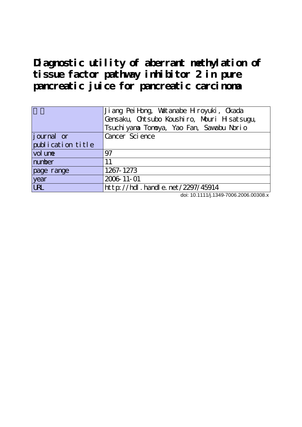**Diagnostic utility of aberrant methylation of tissue factor pathway inhibitor 2 in pure pancreatic juice for pancreatic carcinoma**

|                   | Ji ang Pei Hong, Wattanabe Hroyuki, Ckada<br>Gensaku, Chtsubo Koushiro, Mouri H satsugu,<br>Tsuchi yana Tonoya, Yao Fan, Sawabu Norio |  |  |
|-------------------|---------------------------------------------------------------------------------------------------------------------------------------|--|--|
| journal or        | Cancer Science                                                                                                                        |  |  |
| publication title |                                                                                                                                       |  |  |
| vol une           | 97                                                                                                                                    |  |  |
| number            | 11                                                                                                                                    |  |  |
| page range        | 1267-1273                                                                                                                             |  |  |
| year              | 2006 11-01                                                                                                                            |  |  |
| <b>URL</b>        | $http$ : //hdl. handle. net /2297/45914                                                                                               |  |  |

doi: 10.1111/j.1349-7006.2006.00308.x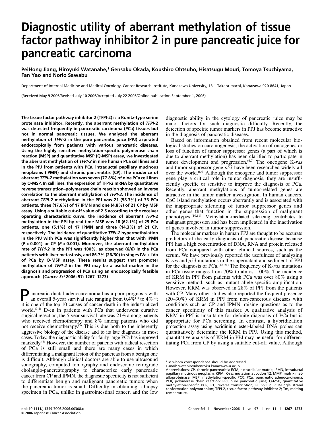# **Diagnostic utility of aberrant methylation of tissue factor pathway inhibitor 2 in pure pancreatic juice for pancreatic carcinoma**

PeiHong Jiang, Hiroyuki Watanabe,<sup>1</sup> Gensaku Okada, Koushiro Ohtsubo, Hisatsugu Mouri, Tomoya Tsuchiyama, **Fan Yao and Norio Sawabu**

Department of Internal Medicine and Medical Oncology, Cancer Research Institute, Kanazawa University, 13-1 Takara-machi, Kanazawa 920-8641, Japan

(Received May 9 2006/Revised July 10 2006/Accepted July 22 2006/Online publication September 1, 2006)

**The tissue factor pathway inhibitor 2 (TFPI-2) is a Kunitz-type serine proteinase inhibitor. Recently, the aberrant methylation of** *TFPI-2* **was detected frequently in pancreatic carcinoma (PCa) tissues but not in normal pancreatic tissues. We analyzed the aberrant methylation of** *TFPI-2* **in the pure pancreatic juice (PPJ) aspirated endoscopically from patients with various pancreatic diseases. Using the highly sensitive methylation-specific polymerase chain reaction (MSP) and quantitative MSP (Q-MSP) assay, we investigated the aberrant methylation of** *TFPI-2* **in nine human PCa cell lines and in the PPJ from patients with PCa, intraductal papillary mucinous neoplasms (IPMN) and chronic pancreatitis (CP). The incidence of aberrant** *TFPI-2* **methylation was seven (77.8%) of nine PCa cell lines by Q-MSP. In cell lines, the expression of TFPI-2 mRNA by quantitative reverse transcription–polymerase chain reaction showed an inverse correlation to the aberrant methylation of** *TFPI-2***. The incidence of aberrant** *TFPI-2* **methylation in the PPJ was 21 (58.3%) of 36 PCa patients, three (17.6%) of 17 IPMN and one (4.8%) of 21 CP by MSP assay. Using a suitable cut-off value of 2.5 according to the receiver operating characteristic curve, the incidence of aberrant** *TFPI-2* **methylation in the PPJ by real-time MSP was 18 (62.1%) of 29 PCa patients, one (5.1%) of 17 IPMN and three (14.3%) of 21 CP, respectively. The incidence of quantitative** *TFPI-2* **hypermethylation in the PPJ with PCa was significantly higher than that with IPMN (***P <* **0.001) or CP (***P <* **0.001). Moreover, the aberrant methylation rate of** *TFPI-2* **in the PPJ was 100%, as observed (6/6) in the PCa patients with liver metastasis, and 86.7% (26/30) in stages IVa + IVb of PCa by Q-MSP assay. These results suggest that promoter methylation of** *TFPI-2* **in the PPJ may be a useful marker in the diagnosis and progression of PCa using an endoscopically feasible approach. (***Cancer Sci* **2006; 97: 1267–1273)**

Pancreatic ductal adenocarcinoma has a poor prognosis with an overall 5-year survival rate ranging from  $0.4\%^{(1)}$  to  $4\%^{(2)}$ ; it is one of the top 10 causes of cancer death in the industrialized world.<sup>(3,4)</sup> Even in patients with PCa that underwent curative surgical resection, the 5-year survival rate was 21% among patients who received chemotherapy and 8% among patients who did not receive chemotherapy.<sup> $(5)$ </sup> This is due both to the inherently aggressive biology of the disease and to its late diagnosis in most cases. Today, the diagnostic ability for fairly large PCa has improved markedly.<sup>(6)</sup> However, the number of patients with radical resection of PCa is still small and there are many cases in which differentiating a malignant lesion of the pancreas from a benign one is difficult. Although clinical doctors are able to use ultrasound sonography, computed tomography and endoscopic retrograde cholangio-pancreatography to characterize early pancreatic cancer from CP and IPMN, the diagnostic specificity is not sufficient to differentiate benign and malignant pancreatic tumors when the pancreatic tumor is small. Difficulty in obtaining a biopsy specimen in PCa, unlike in gastrointestinal cancer, and the low diagnostic ability in the cytology of pancreatic juice may be major factors for such diagnostic difficulty. Recently, the detection of specific tumor markers in PPJ has become attractive in the diagnosis of pancreatic diseases.

Based on information obtained from recent molecular biological studies on carcinogenesis, the activation of oncogenes or loss of function of tumor suppressor genes (a part of which is due to aberrant methylation) has been clarified to participate in tumor development and progression.(6,7) The oncogene K-*ras* and tumor suppressor gene *p53* have been researched widely all over the world.<sup>(8,9)</sup> Although the oncogene and tumor suppressor gene play a critical role in tumor diagnosis, they are insufficiently specific or sensitive to improve the diagnosis of PCa. Recently, aberrant methylations of tumor-related genes are attractive in the tumor marker investigation. In human cancers, CpG island methylation occurs aberrantly and is associated with the inappropriate silencing of tumor suppressor genes and other genes that function in the suppression of malignant phenotypes.(10,11) Methylation-mediated silencing contributes to malignant progression and has been implicated in the inactivation of genes involved in tumor suppression.

The molecular markers in human PPJ are thought to be accurate predictors of the early diagnosis of pancreatic disease because PPJ has a high concentration of DNA, RNA and protein released from PCa compared with other clinical sources, such as the serum. We have previously reported the usefulness of analyzing K-*ras* and *p53* mutations in the supernatant and sediment of PPJ for the diagnosis of PCa.(12–21) The frequency of K-*ras* mutations in PCa tissue ranges from 70% to almost 100%. The incidence of KRM in PPJ from patients with PCa was over 80% using a sensitive method, such as mutant allele-specific amplification. However, KRM was observed in 28% of PPJ from the patients with CP. Many other studies also reported the frequent presence (20–30%) of KRM in PPJ from non-cancerous diseases with conditions such as CP and IPMN, raising questions as to the cancer specificity of this marker. A qualitative analysis of KRM in PPJ is unsuitable for definite diagnosis of PCa but is appropriate for PCa screening. In contrast, a hybridization protection assay using acridinium ester-labeled DNA probes can quantitatively determine the KRM in PPJ. Using this method, quantitative analysis of KRM in PPJ may be useful for differentiating PCa from CP by using a suitable cut-off value. Although

<sup>1</sup> To whom correspondence should be addressed.

E-mail: watahiro@kenroku.kanazawa-u.ac.jp Abbreviations: CP, chronic pancreatitis; ECM, extracellular matrix; IPMN, intraductal papillary mucinous neoplasm; KRM, K-*ras* mutation at codon 12; MMP, matrix met-alloproteinase; MSP, methylation-specific PCR; PCa, pancreatic adenocarcinoma; PCR, polymerase chain reaction; PPJ, pure pancreatic juice; Q-MSP, quantitative methylation-specific PCR; RT, reverse transcription; PCR-SSCP, PCR-single strand conformation polymorphism; TFPI-2, tissue factor pathway inhibitor 2; Tm, melting temperature.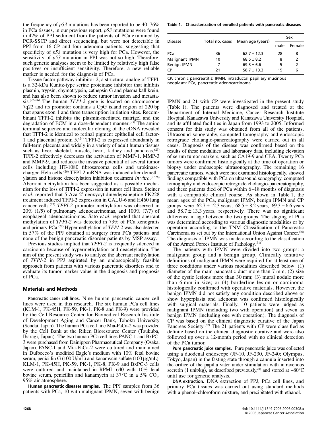the frequency of *p53* mutations has been reported to be 40–76% in PCa tissues, in our previous report, *p53* mutations were found in 42% of PPJ sediment from the patients of PCa examined by PCR-SSCP and direct sequencing, but were not detectable in PPJ from 16 CP and four adenoma patients, suggesting that specificity of *p53* mutation is very high for PCa. However, the sensitivity of *p53* mutation in PPJ was not so high. Therefore, such genetic analyses seem to be limited by relatively high false positives or insufficient sensitivity. Therefore, a new reliable marker is needed for the diagnosis of PCa.

Tissue factor pathway inhibitor-2, a structural analog of TFPI, is a 32-kDa Kunitz-type serine proteinase inhibitor that inhibits plasmin, trypsin, chymotrypsin, cathepsin G and plasma kallikrein, and has also been shown to reduce tumor invasion and metastasis.(22–26) The human *TFPI-2* gene is located on chromosome 7q22 and its promoter contains a CpG island region of 220 bp that spans exon 1 and three transcription initiation sites. Recombinant TFPI-2 inhibits the plasmin-mediated matrigel and the degradation of ECM in a dose-dependent manner.<sup>(23)</sup> The amino terminal sequence and molecular cloning of the cDNA revealed that TFPI-2 is identical to retinal pigment epithelial cell factor-1 and placental protein  $5^{(24)}$  TFPI-2 is expressed abundantly in full-term placenta and widely in a variety of adult human tissues such as liver, skeletal, muscle, heart, kidney and pancreas.<sup>(25)</sup> TFPI-2 effectively decreases the activation of MMP-1, MMP-3 and MMP-9, and reduces the invasive potential of several tumor cells including HT-1080 fibrosarcoma cells and urokinasecharged Hela cells.<sup>(26)</sup> TFPI-2 mRNA was induced after demethylation and histone deacetylation inhibition treatment *in vitro.*(27,28) Aberrant methylation has been suggested as a possible mechanism for the loss of TFPI-2 expression in tumor cell lines. Steiner *et al*. reported that 5-Aza 2′-deoxycytidine/depsipeptide FK228 treatment induced TFPI-2 expression in CALU-6 and H460 lung cancer cells.(27) *TFPI-2* promoter methylation was observed in 20% (1/5) of pulmonary adenocarcinomas, and 100% (7/7) of esophageal adenocarcinomas. Sato *et al*. reported that aberrant methylation of *TFPI-2* was detected in 73% of PCa xenografts and primary PCa.(29) Hypermethylation of *TFPI-2* was also detected in 57% of the PPJ obtained at surgery from PCa patients and none of the benign pancreatic disorder patients by MSP assay.

Previous studies implied that *TFPI-2* is frequently silenced in carcinoma because of hypermethylation and deacetylation. The aim of the present study was to analyze the aberrant methylation of *TFPI-2* in PPJ aspirated by an endoscopically feasible approach from patients with various pancreatic disorders and to evaluate its tumor marker value in the diagnosis and prognosis of PCa.

#### **Materials and Methods**

**Pancreatic caner cell lines.** Nine human pancreatic cancer cell lines were used in this research. The six human PCa cell lines (KLM-1, PK-45H, PK-59, PK-1, PK-8 and PK-9) were provided by the Cell Resource Center for Biomedical Research Institute of Development Aging and Cancer Bank, Tohoku University (Sendai, Japan). The human PCa cell line Mia-PaCa-2 was provided by the Cell Bank at the Riken Bioresource Center (Tsukuba, Ibaragi, Japan). The two human PCa cell lines PANC-1 and BxPC-3 were purchased from Dainippon Pharmaceutical Company (Osaka, Japan). PANC-1 and Mia-PaCa-2 were cultured and maintained in Dulbecco's modified Eagle's medium with 10% fetal bovine serum, penicillin G (100 U/mL) and kanamycin sulfate (100 µg/mL). KLM-1, PK-45H, PK-59, PK-1, PK-8, PK-9 and BxPC-3 cells were cultured and maintained in RPMI-1640 with 10% fetal bovine serum, penicillin and kanamycin at  $37^{\circ}$ C in a  $5\%$  CO<sub>2</sub>, 95% air atmosphere.

**Human pancreatic diseases samples.** The PPJ samples from 36 patients with PCa, 10 with malignant IPMN, seven with benign

**Table 1. Characterization of enrolled patients with pancreatic diseases**

| <b>Disease</b> |    | Total no. cases Mean age (years) | Sex  |        |
|----------------|----|----------------------------------|------|--------|
|                |    |                                  | male | Female |
| PCa            | 36 | $62.7 \pm 12.3$                  | 28   | 8      |
| Malignant IPMN | 10 | $68.5 \pm 8.2$                   | 8    | 2      |
| Benign IPMN    |    | $69.3 \pm 6.6$                   | 5    | 2      |
| СP             | 21 | $58.7 \pm 13.3$                  | 15   | 6      |

CP, chronic pancreatitis; IPMN, intraductal papillary mucinous neoplasm; PCa, pancreatic adenocarcinoma.

IPMN and 21 with CP were investigated in the present study (Table 1). The patients were diagnosed and treated at the Department of Internal Medicine, Cancer Research Institute Hospital, Kanazawa University and Kanazawa University Hospital, and its affiliated facilities in Japan from 1993 to 2005. Informed consent for this study was obtained from all of the patients. Ultrasound sonography, computed tomography and endoscopic retrograde cholangio-pancreatography were carried out in all cases. Diagnosis of the disease was confirmed based on the results of these modalities and laboratory data, including elevation of serum tumor markers, such as CA19-9 and CEA. Twenty PCa tumors were confirmed histologically at the time of operation or biopsy under endoscopic ultrasonography. The remaining 16 pancreatic tumors, which were not examined histologically, showed findings compatible with PCa on ultrasound sonography, computed tomography and endoscopic retrograde cholangio-pancreatography, and these patients died of PCa within 6–18 months of diagnosis with a compatible clinical course. As shown in Table 1, the mean ages of the PCa, malignant IPMN, benign IPMN and CP groups were  $62.7 \pm 12.3$  years,  $68.5 \pm 8.2$  years,  $69.3 \pm 6.6$  years and  $58.7 \pm 13.3$  years, respectively. There was no significant difference in age between the two groups. The staging of PCa was determined according to various diagnostic modalities or by operation according to the TNM Classification of Pancreatic Carcinoma as set out by the International Union Against Cancer.(30) The diagnosis of IPMN was made according to the classification of the Armed Forces Institute of Pathology.(31)

The patients with IPMN were divided into two groups: a malignant group and a benign group. Clinically tentative definitions of malignant IPMN were required for at least one of three conditions under various modalities described below: (1) diameter of the main pancreatic duct more than 7 mm; (2) size of the cystic lesions more than 30 mm; (3) mural nodule more than 6 mm in size; or (4) borderline lesion or carcinoma histologically confirmed with operative materials. However, the benign IPMN did not satisfy any condition described above or show hyperplasia and adenoma was confirmed histologically with surgical materials. Finally, 10 patients were judged as malignant IPMN (including two with operation) and seven as benign IPMN (including one with operation). The diagnosis of CP was based on the clinical diagnostic curative of the Japan Pancreas Society.<sup>(32)</sup> The 21 patients with CP were classified as definite based on the clinical diagnostic curative and were also followed up over a 12-month period with no clinical detection of the PCa tumor.

**Pure pancreatic juice samples.** Pure pancreatic juice was collected using a duodenal endoscope (JF-10, JF-230, JF-240; Olympus, Tokyo, Japan) in the fasting state through a cannula inserted into the orifice of the papilla vater under stimulation with intravenous secretin (1 unit/kg), as described previously,<sup>(8)</sup> and stored at −80°C until use for genetic analysis.

**DNA extraction.** DNA extraction of PPJ, PCa cell lines, and primary PCa tissues was carried out using standard methods with a phenol–chloroform mixture, and precipitated with ethanol.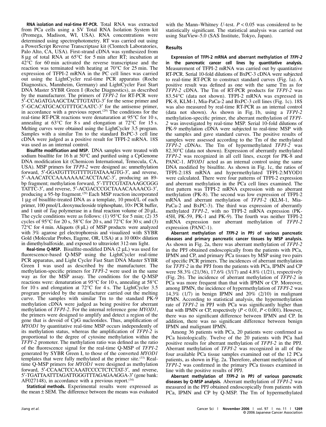**RNA isolation and real-time RT-PCR.** Total RNA was extracted from PCa cells using a SV Total RNA Isolation System kit (Promega, Madison, WI, USA). RNA concentrations were determined using spectrophotometry. RT was carried out using a PowerScript Reverse Transcriptase kit (Clontech Laboratories, Palo Alto, CA, USA). First-strand cDNA was synthesized from 8 µg of total RNA at 65°C for 5 min after RT; incubation at 42°C for 60 min activated the reverse transcriptase and the reaction was terminated with heating at 70°C for 25 min. The expression of TFPI-2 mRNA in the PC cell lines was carried out using the LightCycler real-time PCR apparatus (Roche Diagnostics, Mannheim, Germany) and LightCycler Fast Start DNA Master SYBR Green I (Roche Diagnostics), as described by the manufacturer. The primers of *TFPI-2* for RT-PCR were 5′-CCAGATGAAGCTACTTGTATG-3′ for the sense primer and 5′-GCACATGCACGTTTGCAATC-3′ for the antisense primer, in accordance with a previous report.<sup> $(29)$ </sup> The conditions for the real-time RT-PCR reactions were denaturation at 95°C for 10 s, annealing at  $63^{\circ}$ C for 8 s and elongation at  $72^{\circ}$ C for 15 s. Melting curves were obtained using the LightCycler 3.5 program. Samples with a similar Tm to the standard BxPC-3 cell line cDNA were judged as a positive result for TFPI-2 mRNA. 18S was used as an internal control.

**Bisulfite modification and MSP.** DNA samples were treated with sodium bisulfite for 16 h at 50°C and purified using a CpGenome DNA modification kit (Chemicon International, Temecula, CA, USA). MSP primers for *TFPI-2* were designed as: unmethylation forward, 5'-GGATGTTTGTTTTGTATAAAGTG-3', and reverse, 5′-AAACATCCAAAAAAACACCTAAC-3′, producing an 89 bp fragment; methylation forward, 5′-TTTCGTATAAAGCGGG TATTC-3′, and reverse, 5′-ACGACCCGCTAAACAAAACG-3′, producing a 95-bp fragment.<sup>(29)</sup> Each MSP reaction incorporated 1 µg of bisulfite-treated DNA as a template, 10 pmol/L of each primer, 100 pmol/L deoxynucleoside triphosphate, 10× PCR buffer, and 1 unit of *Taq* polymerase in a final reaction volume of 20 µL. The cycle conditions were as follows: (1)  $95^{\circ}$ C for 5 min; (2) 35 cycles of 95 $\degree$ C for 20 s, 58 $\degree$ C for 20 s, and 72 $\degree$ C for 30 s; and (3) 72°C for 4 min. Aliquots (8 µL) of MSP products were analyzed with 3% agarose gel electrophoresis and visualized with SYBR Gold (Molecular Probes, Eugene, OR, USA) at a 10 000× dilution in dimethylsulfoxide, and exposed to ultraviolet 312-nm light.

**Real-time Q-MSP.** Bisulfite-modified DNA  $(2 \mu L)$  was used for fluorescence-based Q-MSP using the LightCycler real-time PCR apparatus, and Light Cycler Fast Start DNA Master SYBR Green I was used as described by the manufacturer. The methylation-specific primers for *TFPI-2* were used in the same way as for the MSP assay. The conditions for the Q-MSP reactions were: denaturation at 95°C for 10 s, annealing at 58°C for 10 s and elongation at 72°C for 4 s. The LightCycler 3.5 program provided by the manufacturer carried out the melting curve. The samples with similar Tm to the standard PK-9 methylation cDNA were judged as being positive for aberrant methylation of *TFPI-2*. For the internal reference gene *MYOD1*, the primers were designed to amplify and detect a region of the gene that is devoid of CpG nucleotides. Thus, amplification of *MYOD1* by quantitative real-time MSP occurs independently of its methylation status, whereas the amplification of *TFPI-2* is proportional to the degree of cytosine methylation within the *TFPI-2* promoter. The methylation ratio was defined as the ratio of the fluorescence signal for the real-time Q-MSP of *TFPI-2* generated by SYBR Green I, to those of the converted *MYOD1* templates that were fully methylated at the primer site.<sup>(33)</sup> Realtime Q-MSP primers for *MYOD1* were designed as methylation forward, 5′-CCAACTCCAAATCCCCTCTCTAT-3′, and reverse, 5′-TGATTAATTTAGATTGGGTTTAGAGAAGGA-3′ (gene bank: AF027148), in accordance with a previous report.<sup>(34)</sup>

**Statistical methods.** Experimental results were expressed as the mean ± SEM. The difference between the means was evaluated

with the Mann–Whitney *U*-test. *P* < 0.05 was considered to be statistically significant. The statistical analysis was carried out using StatView-5.0 (SAS Institute, Tokyo, Japan).

## **Results**

**Expression of TFPI-2 mRNA and aberrant methylation of** *TFPI-2* **in the pancreatic cancer cell lines by quantitative analysis.** Measurement of TFPI-2 mRNA was carried out by quantitative RT-PCR. Serial 10-fold dilutions of BxPC-3 cDNA were subjected to real-time RT-PCR to construct standard curves (Fig. 1a). A positive result was defined as one with the same Tm as for *TFPI-2* cDNA. The Tm of RT-PCR products for *TFPI-2* was 83.54°C (data not shown). TFPI-2 mRNA was expressed in PK-8, KLM-1, Mia-PaCa-2 and BxPC-3 cell lines (Fig. 1c). 18S was also measured by real-time RT-PCR as an internal control (data not shown). As shown in Fig. 1b, using a *TFPI-2* methylation-specific primer, the aberrant methylation of *TFPI-2* was investigated by real-time MSP. Serial 10-fold dilutions of PK-9 methylation cDNA were subjected to real-time MSP with the samples and gave standard curves. The positive results of samples were assessed according to the Tm of the methylated *TFPI-2* cDNAs. The Tm of hypermethylated *TFPI-2* was 82.30°C (data not shown). Expression of aberrantly methylated *TFPI-2* was recognized in all cell lines, except for PK-8 and PANC-1. *MYOD1* acted as an internal control using the same DNA modified by bisulfite. As shown in Fig. 1c, the ratios of TFPI-2:18S mRNA and hypermethylated TFPI-2:MYOD1 were calculated. There were four patterns of TFPI-2 expression and aberrant methylation in the PCa cell lines examined. The first pattern was TFPI-2 mRNA expression with no aberrant methylation (PK-8). The second was low expression of TFPI-2 mRNA and aberrant methylation of *TFPI-2* (KLM-1, Mia-PaCa-2 and BxPC-3). The third was expression of aberrantly methylated *TFPI-2*, with no TFPI-2 mRNA expression (PK-45H, PK-59, PK-1 and PK-9). The fourth was neither TFPI-2 mRNA expression nor aberrant methylation of *TFPI-2* expression (PANC-1).

**Aberrant methylation of** *TFPI-2* **in PPJ of various pancreatic diseases and primary pancreatic cancer tissues by MSP analysis.** As shown in Fig. 2a, there was aberrant methylation of *TFPI-2* in the PPJ obtained endoscopically from the patients with PCa, IPMN and CP, and primary PCa tissues by MSP using two pairs of specific PCR primers. The incidences of aberrant methylation for *TFPI-2* in the PPJ from the patients with PCa, IPMN and CP were 58.3% (21/36), 17.6% (3/17) and 4.8% (1/21), respectively (Fig. 2b). The incidence of aberrant methylation of *TFPI-2* in PCa was more frequent than that with IPMN or CP. Moreover, among IPMN, the incidence of hypermethylation of *TFPI-2* was 14.3%  $(1/7)$  in benign IPMN and  $20\%$   $(2/10)$  in malignant IPMN. According to statistical analysis, the hypermethylation rate of *TFPI-2* in PPJ with PCa was significantly higher than that with IPMN or CP, respectively  $(P < 0.01, P < 0.001)$ . However, there was no significant difference between IPMN and CP. In addition, there was no significant difference between benign IPMN and malignant IPMN.

Among 36 patients with PCa, 20 patients were confirmed as PCa histologically. Twelve of the 20 patients with PCa had positive results for aberrant methylation of *TFPI-2* in the PPJ. Aberrant methylation of *TFPI-2* was recognized in all of the four available PCa tissue samples examined out of the 12 PCa patients, as shown in Fig. 2a. Therefore, aberrant methylation of *TFPI-2* was confirmed in the primary PCa tissues examined in line with the positive results of PPJ.

**Aberrant methylation of** *TFPI-2* **in PPJ of various pancreatic diseases by Q-MSP analysis.** Aberrant methylation of *TFPI-2* was measured in the PPJ obtained endoscopically from patients with PCa, IPMN and CP by Q-MSP. The Tm of hypermethylated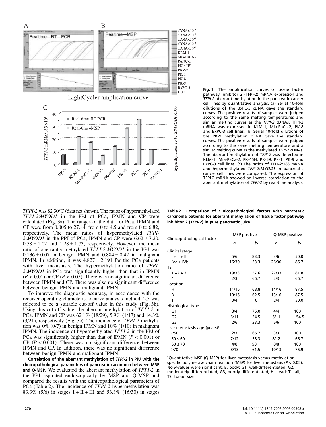

**Fig. 1.** The amplification curves of tissue factor pathway inhibitor 2 (TFPI-2) mRNA expression and *TFPI-2* aberrant methylation in the pancreatic cancer cell lines by quantitative analysis. (a) Serial 10-fold dilutions of the BxPC-3 cDNA gave the standard curves. The positive results of samples were judged according to the same melting temperatures and similar melting curves as the *TFPI-2* cDNAs. TFPI-2 mRNA was expressed in KLM-1, Mia-PaCa-2, PK-8 and BxPC-3 cell lines. (b) Serial 10-fold dilutions of the PK-9 methylation cDNA gave the standard curves. The positive results of samples were judged according to the same melting temperature and a similar melting curve as the methylated *TFPI-2* cDNAs. The aberrant methylation of *TFPI-2* was detected in KLM-1, Mia-PaCa-2, PK-45H, PK-59, PK-1, PK-9 and BxPC-3 cell lines. (c) The ratios of TFPI-2:18S mRNA and hypermethylated *TFPI-2*:*MYOD1* in pancreatic cancer cell lines were compared. The expression of TFPI-2 mRNA showed an inverse correlation to the aberrant methylation of *TFPI-2* by real-time analysis.

*TFPI-2* was 82.30°C (data not shown). The ratios of hypermethylated *TFPI-2*:*MYOD1* in the PPJ of PCa, IPMN and CP were calculated (Fig. 3a). The ranges of the data for PCa, IPMN and CP were from 0.005 to 27.84, from 0 to 4.5 and from 0 to 6.82, respectively. The mean ratios of hypermethylated *TFPI-*2: $\hat{M}YOD1$  in the PPJ of PCa, IPMN and CP were  $6.62 \pm 7.20$ ,  $0.58 \pm 1.02$  and  $1.28 \pm 1.73$ , respectively. However, the mean ratio of aberrantly methylated *TFPI-2*:*MYOD1* in the PPJ was  $0.136 \pm 0.07$  in benign IPMN and  $0.884 \pm 0.42$  in malignant IPMN. In addition, it was  $4.827 \pm 2.191$  for the PCa patients with liver metastasis. The hypermethylation ratio of *TFPI-2*:*MYOD1* in PCa was significantly higher than that in IPMN  $(P < 0.01)$  or CP ( $P < 0.05$ ). There was no significant difference between IPMN and CP. There was also no significant difference between benign IPMN and malignant IPMN.

To improve the diagnostic accuracy, in accordance with the receiver operating characteristic curve analysis method, 2.5 was selected to be a suitable cut-off value in this study (Fig. 3b). Using this cut-off value, the aberrant methylation of *TFPI-2* in PCa, IPMN and CP was 62.1% (18/29), 5.9% (1/17) and 14.3% (3/21), respectively (Fig. 3c). The incidence of *TFPI-2* methylation was  $0\%$  (0/7) in benign IPMN and 10% (1/10) in malignant IPMN. The incidence of hypermethylated *TFPI-2* in the PPJ of PCa was significantly higher than that of IPMN (*P <* 0.001) or CP  $(P < 0.001)$ . There was no significant difference between IPMN and CP. In addition, there was no significant difference between benign IPMN and malignant IPMN.

**Correlation of the aberrant methylation of** *TFPI-2* **in PPJ with the clinicopathological parameters of pancreatic carcinoma between MSP and Q-MSP.** We evaluated the aberrant methylation of *TFPI-2* in the PPJ aspirated endoscopically by MSP and Q-MSP and compared the results with the clinicopathological parameters of PCa (Table 2). The incidence of *TFPI-2* hypermethylation was 83.3% (5/6) in stages I + II + III and 53.3% (16/30) in stages

**Table 2. Comparison of clinicopathological factors with pancreatic carcinoma patients for aberrant methylation of tissue factor pathway inhibitor 2 (***TFPI-2***) in pure pancreatic juice**

|                                          | MSP positive |      | Q-MSP positive |      |
|------------------------------------------|--------------|------|----------------|------|
| Clinicopathological factor               | n            | %    | n              | %    |
| Clinical stage                           |              |      |                |      |
| $1 + 11 + 111$                           | 5/6          | 83.3 | 3/6            | 50.0 |
| $IVA + IVb$                              | 16/30        | 53.3 | 26/30          | 86.7 |
| TS                                       |              |      |                |      |
| $1 + 2 + 3$                              | 19/33        | 57.6 | 27/33          | 81.8 |
| 4                                        | 2/3          | 66.7 | 2/3            | 66.7 |
| Location                                 |              |      |                |      |
| н                                        | 11/16        | 68.8 | 14/16          | 87.5 |
| В                                        | 10/16        | 62.5 | 13/16          | 87.5 |
| Т                                        | 0/4          | 0    | 2/4            | 50.0 |
| Histological type                        |              |      |                |      |
| G1                                       | 3/4          | 75.0 | 4/4            | 100  |
| G <sub>2</sub>                           | 6/11         | 54.5 | 6/11           | 54.5 |
| G3                                       | 2/6          | 33.3 | 6/6            | 100  |
| Live metastasis age (years) <sup>+</sup> |              |      |                |      |
| $50$                                     | 2/3          | 66.7 | 3/3            | 100  |
| $50 \le 60$                              | 7/12         | 58.3 | 8/12           | 66.7 |
| $60 \le 70$                              | 4/8          | 50   | 8/8            | 100  |
| >70                                      | 8/13         | 61.5 | 10/13          | 76.9 |

† Quantitative MSP (Q-MSP) for liver metastasis versus methylationspecific polymerase chain reaction (MSP) for liver metastasis (*P* < 0.05). No *P*-values were significant. B, body; G1, well-differentiated; G2, moderately differentiated; G3, poorly differentiated; H, head; T, tail; TS, tumor size.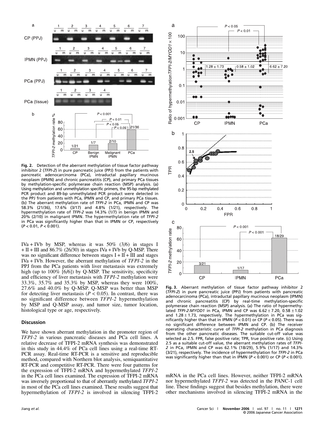

**Fig. 2.** Detection of the aberrant methylation of tissue factor pathway inhibitor 2 (*TFPI-2*) in pure pancreatic juice (PPJ) from the patients with pancreatic adenocarcinoma (PCa), intraductal papillary mucinous neoplasm (IPMN) and chronic pancreatitis (CP), and primary PCa tissues by methylation-specific polymerase chain reaction (MSP) analysis. (a) Using methylation and unmethylation specific primers, the 95-bp methylated PCR product and 89-bp unmethylated PCR product were detected in the PPJ from patients with PCa, IPMN and CP, and primary PCa tissues. (b) The aberrant methylation rate of *TFPI-2* in PCa, IPMN and CP was 58.3% (21/36), 17.6% (3/17) and 4.8% (1/21), respectively. The hypermethylation rate of *TFPI-2* was 14.3% (1/7) in benign IPMN and 20% (2/10) in malignant IPMN. The hypermethylation rate of *TFPI-2* in PCa was significantly higher than that in IPMN or CP, respectively (*P <* 0.01, *P* < 0.001).

IVa + IVb by MSP, whereas it was  $50\%$  (3/6) in stages I  $+ II + III$  and 86.7% (26/30) in stages IVa + IVb by Q-MSP. There was no significant difference between stages  $I + II + III$  and stages IVa + IVb. However, the aberrant methylation of *TFPI-2* in the PPJ from the PCa patients with liver metastasis was extremely high (up to  $100\%$  [6/6]) by O-MSP. The sensitivity, specificity and efficiency of liver metastasis with *TFPI-2* methylation were 33.3%, 35.7% and 35.3% by MSP, whereas they were 100%, 27.6% and 40.0% by Q-MSP. Q-MSP was better than MSP for detecting liver metastasis  $(P < 0.05)$ . In contrast, there was no significant difference between *TFPI-2* hypermethylation by MSP and Q-MSP assay, and tumor size, tumor location, histological type or age, respectively.

### **Discussion**

We have shown aberrant methylation in the promoter region of *TFPI-2* in various pancreatic diseases and PCa cell lines. A relative decrease of TFPI-2 mRNA synthesis was demonstrated in this study in 44.4% of PCa cell lines using a real-time RT-PCR assay. Real-time RT-PCR is a sensitive and reproducible method, compared with Northern blot analysis, semiquantitative RT-PCR and competitive RT-PCR. There were four patterns for the expression of TFPI-2 mRNA and hypermethylated *TFPI-2* in the PCa cell lines examined. The expression of TFPI-2 mRNA was inversely proportional to that of aberrantly methylated *TFPI-2* in most of the PCa cell lines examined. These results suggest that hypermethylation of *TFPI-2* is involved in silencing TFPI-2



**Fig. 3.** Aberrant methylation of tissue factor pathway inhibitor 2 (*TFPI-2*) in pure pancreatic juice (PPJ) from patients with pancreatic adenocarcinoma (PCa), intraductal papillary mucinous neoplasm (IPMN) and chronic pancreatitis (CP) by real-time methylation-specific polymerase chain reaction (MSP) analysis. (a) The ratio of hypermethylated *TFPI-2*:*MYOD1* in PCa, IPMN and CP was 6.62 ± 7.20, 0.58 ± 1.02 and  $1.28 \pm 1.73$ , respectively. The hypermethylation in PCa was significantly higher than that in IPMN (*P <* 0.01) or CP (*P <* 0.05). There was no significant difference between IPMN and CP. (b) The receiver operating characteristic curve of *TFPI-2* methylation in PCa diagnosis from the other pancreatic diseases. The suitable cut-off value was selected as 2.5. FPR, false positive rate; TPR, true positive rate. (c) Using 2.5 as a suitable cut-off value, the aberrant methylation rates of *TFPI-2* in PCa, IPMN and CP was 62.1% (18/29), 5.9% (1/17) and 14.3% (3/21), respectively. The incidence of hypermethylation for *TFPI-2* in PCa was significantly higher than that in IPMN (*P <* 0.001) or CP (*P <* 0.001).

mRNA in the PCa cell lines. However, neither TFPI-2 mRNA nor hypermethylated *TFPI-2* was detected in the PANC-1 cell line. These findings suggest that besides methylation, there were other mechanisms involved in silencing TFPI-2 mRNA in the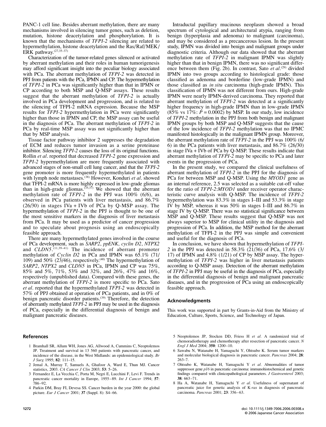PANC-1 cell line. Besides aberrant methylation, there are many mechanisms involved in silencing tumor genes, such as deletion, mutation, histone deacetylation and phosphorylation. It is known that the mechanisms of *TFPI-2* silencing are related to hypermethylation, histone deacetylation and the Ras/Raf/MEK/ ERK pathway.<sup>(27,35-37)</sup>

Characterization of the tumor-related genes silenced or activated by aberrant methylation and their roles in human tumorigenesis may afford significant insight into the peculiar biology associated with PCa. The aberrant methylation of *TFPI-2* was detected in PPJ from patients with the PCa, IPMN and CP. The hypermethylation of *TFPI-2* in PCa was significantly higher than that in IPMN or CP according to both MSP and Q-MSP assays. These results suggest that the aberrant methylation of *TFPI-2* is actually involved in PCa development and progression, and is related to the silencing of TFPI-2 mRNA expression. Because the MSP results for *TFPI-2* hypermethylation in PCa were significantly higher than those in IPMN and CP, the MSP assay can be useful in the diagnosis of PCa. The aberrant methylation of *TFPI-2* in PCa by real-time MSP assay was not significantly higher than that by MSP analysis.

Tissue factor pathway inhibitor 2 suppresses the degradation of ECM and reduces tumor invasion as a serine proteinase inhibitor. Silencing *TFPI-2* causes the loss of its original functions. Rollin *et al*. reported that decreased *TFPI-2* gene expression and *TFPI-2* hypermethylation are more frequently associated with advanced stages of non-small cell lung cancer, and that the *TFPI-2* gene promoter is more frequently hypermethylated in patients with lymph node metastases.<sup>(38)</sup> However, Konduri *et al.* showed that TFPI-2 mRNA is more highly expressed in low-grade gliomas than in high-grade gliomas.<sup> $(35,37)$ </sup> We showed that the aberrant methylation rate of *TFPI-2* in the PPJ was 100% (6/6), as observed in PCa patients with liver metastasis, and 86.7%  $(26/30)$  in stages IVa + IVb of PCa by Q-MSP assay. The hypermethylation of *TFPI-2* in the PPJ is thought to be one of the most sensitive markers in the diagnosis of liver metastasis from PCa. It may be used as a predictor of cancer progression and to speculate about prognosis using an endoscopically feasible approach.

There are many hypermethylated genes involved in the course of PCa development, such as *SARP2*, *ppENK*, *cyclin D2*, *NTPX2* and *CLDN5*.<sup>(11,39–41)</sup> The incidence of aberrant promoter methylation of *Cyclin D2* in PCa and IPMN was 65.1% (71/ 109) and 50% (23/46), respectively.<sup> $(40)$ </sup> The hypermethylation of *SARP2*, *NTPX2* and *CLDN5* in PCa, IPMN and CP was 75%, 85% and 5%, 71%, 53% and 32%, and 26%, 47% and 16%, respectively (unpublished data). Compared with these genes, the aberrant methylation of *TFPI-2* is more specific to PCa. Sato *et al*. reported that the hypermethylated *TFPI-2* was detected in 57% of PPJ obtained at operation of PCa patients, and in 0% of benign pancreatic disorder patients.<sup>(39)</sup> Therefore, the detection of aberrantly methylated *TFPI-2* in PPJ may be used in the diagnosis of PCa, especially in the differential diagnosis of benign and malignant pancreatic diseases.

## **References**

- 1 Bramhall SR, Allum WH, Jones AG, Allwood A, Cummins C, Neoptolemos JP. Treatment and survival in 13 560 patients with pancreatic cancer, and incidence of the disease, in the West Midlands: an epidemiological study. *Br J Surg* 1995; **82**: 111–15.
- 2 Jemal A, Murray T, Samuels A, Ghafoor A, Ward E, Thun MJ. Cancer statistics, 2003. *CA Cancer J Clin* 2003; **53**: 5–26.
- 3 Fernandez E, La Vecchia C, Porta M, Negri E, Lucchini F, Levi F. Trends in pancreatic cancer mortality in Europe, 1955–89. *Int J Cancer* 1994; **57**: 786–92.
- 4 Parkin DM, Bray FI, Devesa SS. Cancer burden in the year 2000: the global picture. *Eur J Cancer* 2001; **37** (Suppl. 8): S4–66.

Intraductal papillary mucinous neoplasm showed a broad spectrum of cytological and architectural atypia, ranging from benign (hyperplasia and adenoma) to malignant (carcinoma), and may be considered as a precancerous lesion. In the present study, IPMN was divided into benign and malignant groups under diagnostic criteria. Although our data showed that the aberrant methylation rate of *TFPI-2* in malignant IPMN was slightly higher than that in benign IPMN, there was no significant difference between them (Fig. 2b). In contrast, Sato *et al.*<sup>(29)</sup> divided IPMN into two groups according to histological grade: those classified as adenoma and borderline (low-grade IPMN) and those classified as *in situ* carcinoma (high-grade IPMN). This classification of IPMN was not different from ours. High-grade IPMN were nearly IPMN-derived carcinoma. They reported that aberrant methylation of *TFPI-2* was detected at a significantly higher frequency in high-grade IPMN than in low-grade IPMN  $(85\% \text{ vs } 17\% \text{ : } P = 0.0002)$  by MSP. In our study, low incidence of *TFPI-2* methylation in the PPJ from both benign and malignant IPMN groups by both MSP and Q-MSP suggests that the cause of the low incidence of *TFPI-2* methylation was that no IPMC manifested histologically in the malignant IPMN group. Moreover, the aberrant methylation rate of *TFPI-2* in the PPJ was 100% (6/ 6) in the PCa patients with liver metastasis, and 86.7% (26/30) in stage IVa  $+$  IVb of PCa by Q-MSP. These results indicate that aberrant methylation of *TFPI-2* may be specific to PCa and later events in the progression of PCa.

In the present study, we compared the clinical usefulness of aberrant methylation of *TFPI-2* in the PPJ for the diagnosis of PCa for between MSP and Q-MSP. Using the *MYOD1* gene as an internal reference, 2.5 was selected as a suitable cut-off value for the ratio of *TFPI-2*:*MYOD1* under receiver operator characteristic curve analysis with Q-MSP. The incidence of *TFPI-2* hypermethylation was 83.3% in stages I–III and 53.3% in stage IV by MSP, whereas it was 50% in stages I–III and 86.7% in stage IV by Q-MSP. There was no statistical significance between MSP and Q-MSP. These results suggest that Q-MSP was not always superior to MSP for clinical utility in the diagnosis and progression of PCa. In addition, the MSP method for the aberrant methylation of TFPI-2 in the PPJ was simple and convenient and useful for the diagnosis of PCa.

In conclusion, we have shown that hypermethylation of *TFPI-2* in the PPJ was detected in 58.3% ( $2\overline{1}/36$ ) of PCa, 17.6% (3/ 17) of IPMN and  $4.8\%$  (1/21) of CP by MSP assay. The hypermethylation of *TFPI-2* was higher in liver metastasis patients according to Q-MSP assay. Detection of the aberrant methylation of *TFPI-2* in PPJ may be useful in the diagnosis of PCa, especially in the differential diagnosis of benign and malignant pancreatic diseases, and in the progression of PCa using an endoscopically feasible approach.

## **Acknowledgments**

This work was supported in part by Grants-in-Aid from the Ministry of Education, Culture, Sports, Science, and Technology of Japan.

- 5 Neoptolemos JP, Stocken DD, Friess H *et al.* A randomized trial of chemoradiotherapy and chemotherapy after resection of pancreatic cancer. *N Engl J Med* 2004; **350**: 1200–10.
- 6 Sawabu N, Watanabe H, Yamaguchi Y, Ohtsubo K. Serum tumor markers and molecular biological diagnosis in pancreatic cancer. *Pancreas* 2004; **28**: 263–7.
- 7 Ohtsubo K, Watanabe H, Yamaguchi Y *et al.* Abnormalities of tumor suppressor gene *p16* in pancreatic carcinoma: immunohistochemical and genetic findings compared with clinicopathological parameters. *J Gastroenterol* 2003; **38**: 663–71.
- 8 Ha A, Watanabe H, Yamaguchi Y *et al.* Usefulness of supernatant of pancreatic juice for genetic analysis of K-*ras* in diagnosis of pancreatic carcinoma. *Pancreas* 2001; **23**: 356–63.